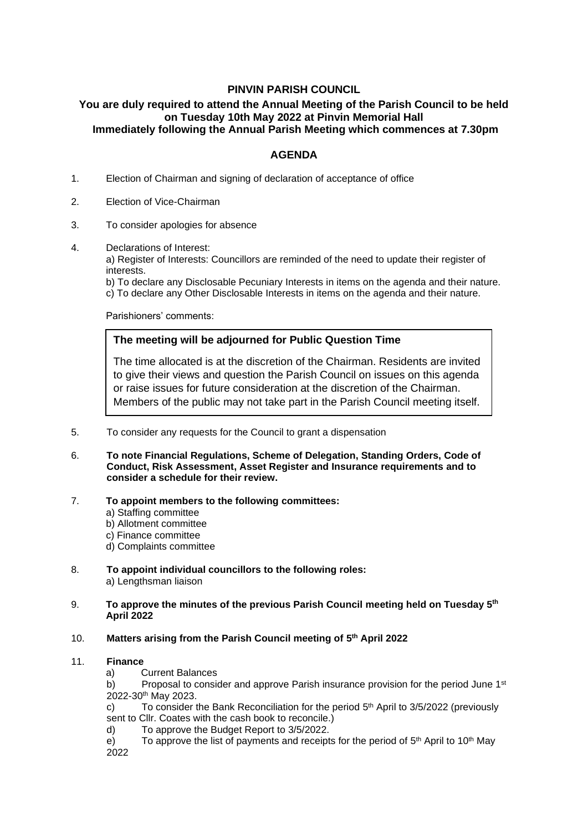# **PINVIN PARISH COUNCIL**

## **You are duly required to attend the Annual Meeting of the Parish Council to be held on Tuesday 10th May 2022 at Pinvin Memorial Hall Immediately following the Annual Parish Meeting which commences at 7.30pm**

## **AGENDA**

- 1. Election of Chairman and signing of declaration of acceptance of office
- 2. Election of Vice-Chairman
- 3. To consider apologies for absence
- 4. Declarations of Interest:

a) Register of Interests: Councillors are reminded of the need to update their register of interests.

b) To declare any Disclosable Pecuniary Interests in items on the agenda and their nature. c) To declare any Other Disclosable Interests in items on the agenda and their nature.

Parishioners' comments:

### **The meeting will be adjourned for Public Question Time**

The time allocated is at the discretion of the Chairman. Residents are invited to give their views and question the Parish Council on issues on this agenda or raise issues for future consideration at the discretion of the Chairman. Members of the public may not take part in the Parish Council meeting itself.

- 5. To consider any requests for the Council to grant a dispensation The period is not part of the formal meeting; brief notes will be appendix  $\mathcal{L}^{\mathcal{L}}$ o consider any requests for the Cour
- 6. **To note Financial Regulations, Scheme of Delegation, Standing Orders, Code of Conduct, Risk Assessment, Asset Register and Insurance requirements and to consider a schedule for their review.**
- 7. **To appoint members to the following committees:**
	- a) Staffing committee
	- b) Allotment committee
	- c) Finance committee
	- d) Complaints committee
- 8. **To appoint individual councillors to the following roles:** a) Lengthsman liaison
- 9. **To approve the minutes of the previous Parish Council meeting held on Tuesday 5 th April 2022**

### 10. **Matters arising from the Parish Council meeting of 5 th April 2022**

#### 11. **Finance**

a) Current Balances

b) Proposal to consider and approve Parish insurance provision for the period June  $1<sup>st</sup>$ 2022-30th May 2023.

c) To consider the Bank Reconciliation for the period  $5<sup>th</sup>$  April to  $3/5/2022$  (previously sent to Cllr. Coates with the cash book to reconcile.)

d) To approve the Budget Report to 3/5/2022.

e) To approve the list of payments and receipts for the period of  $5<sup>th</sup>$  April to 10<sup>th</sup> May 2022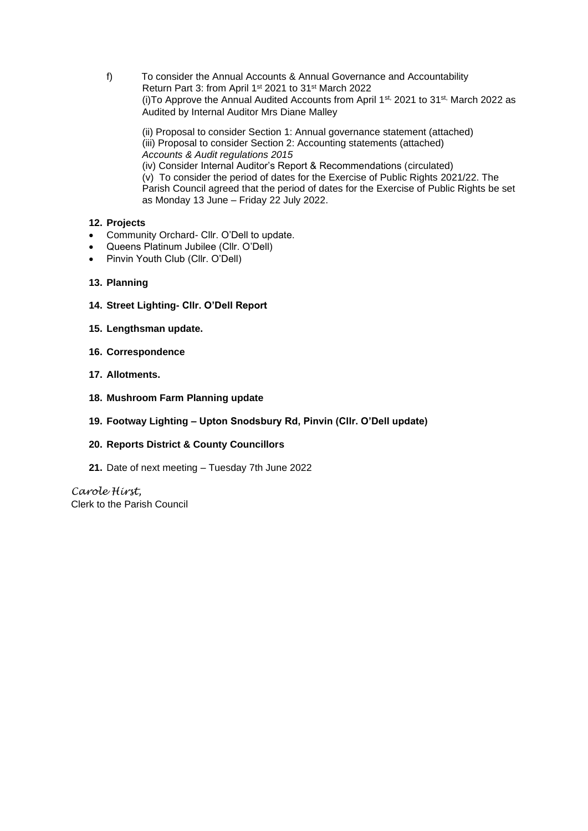f) To consider the Annual Accounts & Annual Governance and Accountability Return Part 3: from April 1st 2021 to 31st March 2022 (i) To Approve the Annual Audited Accounts from April 1<sup>st,</sup> 2021 to 31<sup>st,</sup> March 2022 as Audited by Internal Auditor Mrs Diane Malley

(ii) Proposal to consider Section 1: Annual governance statement (attached) (iii) Proposal to consider Section 2: Accounting statements (attached) *Accounts & Audit regulations 2015* (iv) Consider Internal Auditor's Report & Recommendations (circulated) (v) To consider the period of dates for the Exercise of Public Rights 2021/22. The Parish Council agreed that the period of dates for the Exercise of Public Rights be set as Monday 13 June – Friday 22 July 2022.

- **12. Projects**
- Community Orchard- Cllr. O'Dell to update.
- Queens Platinum Jubilee (Cllr. O'Dell)
- Pinvin Youth Club (Cllr. O'Dell)
- **13. Planning**
- **14. Street Lighting- Cllr. O'Dell Report**
- **15. Lengthsman update.**
- **16. Correspondence**
- **17. Allotments.**
- **18. Mushroom Farm Planning update**
- **19. Footway Lighting – Upton Snodsbury Rd, Pinvin (Cllr. O'Dell update)**
- **20. Reports District & County Councillors**
- **21.** Date of next meeting Tuesday 7th June 2022

*Carole Hirst,*  Clerk to the Parish Council